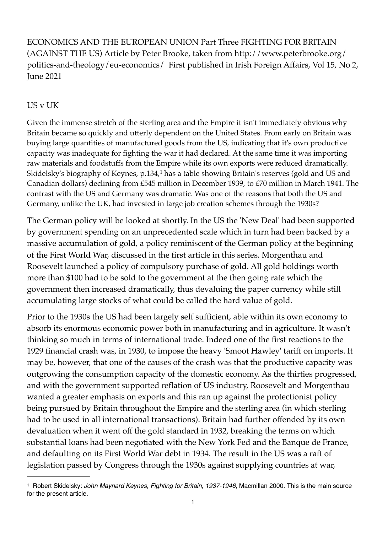ECONOMICS AND THE EUROPEAN UNION Part Three FIGHTING FOR BRITAIN (AGAINST THE US) Article by Peter Brooke, taken from http://www.peterbrooke.org/ politics-and-theology/eu-economics/ First published in Irish Foreign Affairs, Vol 15, No 2, June 2021

#### US v UK

Given the immense stretch of the sterling area and the Empire it isn't immediately obvious why Britain became so quickly and utterly dependent on the United States. From early on Britain was buying large quantities of manufactured goods from the US, indicating that it's own productive capacity was inadequate for fighting the war it had declared. At the same time it was importing raw materials and foodstuffs from the Empire while its own exports were reduced dramatically. Skidelsky's biography of Keynes, p.134,[1](#page-0-0) has a table showing Britain's reserves (gold and US and Canadian dollars) declining from £545 million in December 1939, to £70 million in March 1941. The contrast with the US and Germany was dramatic. Was one of the reasons that both the US and Germany, unlike the UK, had invested in large job creation schemes through the 1930s?

The German policy will be looked at shortly. In the US the 'New Deal' had been supported by government spending on an unprecedented scale which in turn had been backed by a massive accumulation of gold, a policy reminiscent of the German policy at the beginning of the First World War, discussed in the first article in this series. Morgenthau and Roosevelt launched a policy of compulsory purchase of gold. All gold holdings worth more than \$100 had to be sold to the government at the then going rate which the government then increased dramatically, thus devaluing the paper currency while still accumulating large stocks of what could be called the hard value of gold.

Prior to the 1930s the US had been largely self sufficient, able within its own economy to absorb its enormous economic power both in manufacturing and in agriculture. It wasn't thinking so much in terms of international trade. Indeed one of the first reactions to the 1929 financial crash was, in 1930, to impose the heavy 'Smoot Hawley' tariff on imports. It may be, however, that one of the causes of the crash was that the productive capacity was outgrowing the consumption capacity of the domestic economy. As the thirties progressed, and with the government supported reflation of US industry, Roosevelt and Morgenthau wanted a greater emphasis on exports and this ran up against the protectionist policy being pursued by Britain throughout the Empire and the sterling area (in which sterling had to be used in all international transactions). Britain had further offended by its own devaluation when it went off the gold standard in 1932, breaking the terms on which substantial loans had been negotiated with the New York Fed and the Banque de France, and defaulting on its First World War debt in 1934. The result in the US was a raft of legislation passed by Congress through the 1930s against supplying countries at war,

<span id="page-0-0"></span><sup>1</sup> Robert Skidelsky: *John Maynard Keynes, Fighting for Britain, 1937-1946*, Macmillan 2000. This is the main source for the present article.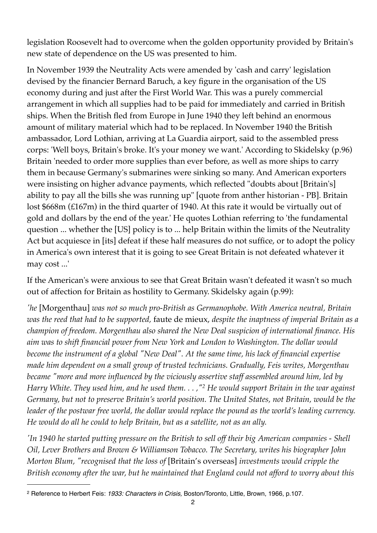legislation Roosevelt had to overcome when the golden opportunity provided by Britain's new state of dependence on the US was presented to him.

In November 1939 the Neutrality Acts were amended by 'cash and carry' legislation devised by the financier Bernard Baruch, a key figure in the organisation of the US economy during and just after the First World War. This was a purely commercial arrangement in which all supplies had to be paid for immediately and carried in British ships. When the British fled from Europe in June 1940 they left behind an enormous amount of military material which had to be replaced. In November 1940 the British ambassador, Lord Lothian, arriving at La Guardia airport, said to the assembled press corps: 'Well boys, Britain's broke. It's your money we want.' According to Skidelsky (p.96) Britain 'needed to order more supplies than ever before, as well as more ships to carry them in because Germany's submarines were sinking so many. And American exporters were insisting on higher advance payments, which reflected "doubts about [Britain's] ability to pay all the bills she was running up" [quote from anther historian - PB]. Britain lost \$668m (£167m) in the third quarter of 1940. At this rate it would be virtually out of gold and dollars by the end of the year.' He quotes Lothian referring to 'the fundamental question ... whether the [US] policy is to ... help Britain within the limits of the Neutrality Act but acquiesce in [its] defeat if these half measures do not suffice, or to adopt the policy in America's own interest that it is going to see Great Britain is not defeated whatever it may cost ...'

If the American's were anxious to see that Great Britain wasn't defeated it wasn't so much out of affection for Britain as hostility to Germany. Skidelsky again (p.99):

*'he* [Morgenthau] *was not so much pro-British as Germanophobe. With America neutral, Britain was the reed that had to be supported,* faute de mieux, *despite the inaptness of imperial Britain as a champion of freedom. Morgenthau also shared the New Deal suspicion of international finance. His aim was to shift financial power from New York and London to Washington. The dollar would become the instrument of a global "New Deal". At the same time, his lack of financial expertise made him dependent on a small group of trusted technicians. Gradually, Feis writes, Morgenthau became "more and more influenced by the viciously assertive staff assembled around him, led by Harry White. They used him, and he used them. . . ,"[2](#page-1-0) He would support Britain in the war against Germany, but not to preserve Britain's world position. The United States, not Britain, would be the leader of the postwar free world, the dollar would replace the pound as the world's leading currency. He would do all he could to help Britain, but as a satellite, not as an ally.*

*'In 1940 he started putting pressure on the British to sell off their big American companies - Shell Oil, Lever Brothers and Brown & Williamson Tobacco. The Secretary, writes his biographer John Morton Blum, "recognised that the loss of* [Britain's overseas] *investments would cripple the British economy after the war, but he maintained that England could not afford to worry about this* 

<span id="page-1-0"></span><sup>2</sup> Reference to Herbert Feis: *1933: Characters in Crisis,* Boston/Toronto, Little, Brown, 1966, p.107.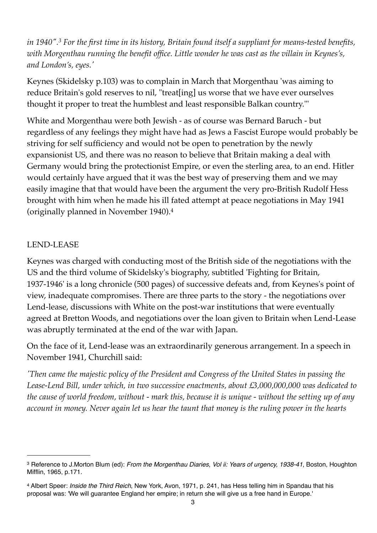*in 1940".[3](#page-2-0) For the first time in its history, Britain found itself a suppliant for means-tested benefits, with Morgenthau running the benefit office. Little wonder he was cast as the villain in Keynes's, and London's, eyes.'*

Keynes (Skidelsky p.103) was to complain in March that Morgenthau 'was aiming to reduce Britain's gold reserves to nil, "treat[ing] us worse that we have ever ourselves thought it proper to treat the humblest and least responsible Balkan country."'

White and Morgenthau were both Jewish - as of course was Bernard Baruch - but regardless of any feelings they might have had as Jews a Fascist Europe would probably be striving for self sufficiency and would not be open to penetration by the newly expansionist US, and there was no reason to believe that Britain making a deal with Germany would bring the protectionist Empire, or even the sterling area, to an end. Hitler would certainly have argued that it was the best way of preserving them and we may easily imagine that that would have been the argument the very pro-British Rudolf Hess brought with him when he made his ill fated attempt at peace negotiations in May 1941 (originally planned in November 1940).[4](#page-2-1)

#### LEND-LEASE

Keynes was charged with conducting most of the British side of the negotiations with the US and the third volume of Skidelsky's biography, subtitled 'Fighting for Britain, 1937-1946' is a long chronicle (500 pages) of successive defeats and, from Keynes's point of view, inadequate compromises. There are three parts to the story - the negotiations over Lend-lease, discussions with White on the post-war institutions that were eventually agreed at Bretton Woods, and negotiations over the loan given to Britain when Lend-Lease was abruptly terminated at the end of the war with Japan.

On the face of it, Lend-lease was an extraordinarily generous arrangement. In a speech in November 1941, Churchill said:

*'Then came the majestic policy of the President and Congress of the United States in passing the Lease-Lend Bill, under which, in two successive enactments, about £3,000,000,000 was dedicated to the cause of world freedom, without - mark this, because it is unique - without the setting up of any account in money. Never again let us hear the taunt that money is the ruling power in the hearts* 

<span id="page-2-0"></span><sup>3</sup> Reference to J.Morton Blum (ed): *From the Morgenthau Diaries*, *Vol ii: Years of urgency, 1938-41*, Boston, Houghton Mifflin, 1965, p.171.

<span id="page-2-1"></span><sup>4</sup> Albert Speer: *Inside the Third Reich*, New York, Avon, 1971, p. 241, has Hess telling him in Spandau that his proposal was: 'We will guarantee England her empire; in return she will give us a free hand in Europe.'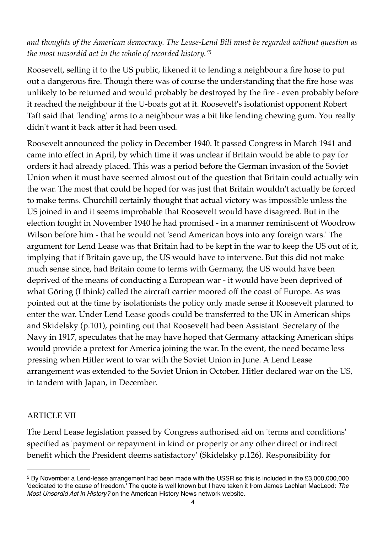*and thoughts of the American democracy. The Lease-Lend Bill must be regarded without question as the most unsordid act in the whole of recorded history.'[5](#page-3-0)*

Roosevelt, selling it to the US public, likened it to lending a neighbour a fire hose to put out a dangerous fire. Though there was of course the understanding that the fire hose was unlikely to be returned and would probably be destroyed by the fire - even probably before it reached the neighbour if the U-boats got at it. Roosevelt's isolationist opponent Robert Taft said that 'lending' arms to a neighbour was a bit like lending chewing gum. You really didn't want it back after it had been used.

Roosevelt announced the policy in December 1940. It passed Congress in March 1941 and came into effect in April, by which time it was unclear if Britain would be able to pay for orders it had already placed. This was a period before the German invasion of the Soviet Union when it must have seemed almost out of the question that Britain could actually win the war. The most that could be hoped for was just that Britain wouldn't actually be forced to make terms. Churchill certainly thought that actual victory was impossible unless the US joined in and it seems improbable that Roosevelt would have disagreed. But in the election fought in November 1940 he had promised - in a manner reminiscent of Woodrow Wilson before him - that he would not 'send American boys into any foreign wars.' The argument for Lend Lease was that Britain had to be kept in the war to keep the US out of it, implying that if Britain gave up, the US would have to intervene. But this did not make much sense since, had Britain come to terms with Germany, the US would have been deprived of the means of conducting a European war - it would have been deprived of what Göring (I think) called the aircraft carrier moored off the coast of Europe. As was pointed out at the time by isolationists the policy only made sense if Roosevelt planned to enter the war. Under Lend Lease goods could be transferred to the UK in American ships and Skidelsky (p.101), pointing out that Roosevelt had been Assistant Secretary of the Navy in 1917, speculates that he may have hoped that Germany attacking American ships would provide a pretext for America joining the war. In the event, the need became less pressing when Hitler went to war with the Soviet Union in June. A Lend Lease arrangement was extended to the Soviet Union in October. Hitler declared war on the US, in tandem with Japan, in December.

#### ARTICLE VII

The Lend Lease legislation passed by Congress authorised aid on 'terms and conditions' specified as 'payment or repayment in kind or property or any other direct or indirect benefit which the President deems satisfactory' (Skidelsky p.126). Responsibility for

<span id="page-3-0"></span><sup>5</sup> By November a Lend-lease arrangement had been made with the USSR so this is included in the £3,000,000,000 'dedicated to the cause of freedom.' The quote is well known but I have taken it from James Lachlan MacLeod: *The Most Unsordid Act in History?* on the American History News network website.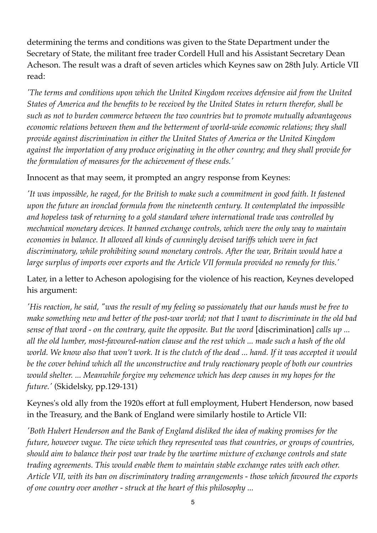determining the terms and conditions was given to the State Department under the Secretary of State, the militant free trader Cordell Hull and his Assistant Secretary Dean Acheson. The result was a draft of seven articles which Keynes saw on 28th July. Article VII read:

*'The terms and conditions upon which the United Kingdom receives defensive aid from the United States of America and the benefits to be received by the United States in return therefor, shall be such as not to burden commerce between the two countries but to promote mutually advantageous economic relations between them and the betterment of world-wide economic relations; they shall provide against discrimination in either the United States of America or the United Kingdom against the importation of any produce originating in the other country; and they shall provide for the formulation of measures for the achievement of these ends.'*

#### Innocent as that may seem, it prompted an angry response from Keynes:

*'It was impossible, he raged, for the British to make such a commitment in good faith. It fastened upon the future an ironclad formula from the nineteenth century. It contemplated the impossible and hopeless task of returning to a gold standard where international trade was controlled by mechanical monetary devices. It banned exchange controls, which were the only way to maintain economies in balance. It allowed all kinds of cunningly devised tariffs which were in fact discriminatory, while prohibiting sound monetary controls. After the war, Britain would have a large surplus of imports over exports and the Article VII formula provided no remedy for this.'*

# Later, in a letter to Acheson apologising for the violence of his reaction, Keynes developed his argument:

*'His reaction, he said, "was the result of my feeling so passionately that our hands must be free to make something new and better of the post-war world; not that I want to discriminate in the old bad sense of that word - on the contrary, quite the opposite. But the word* [discrimination] *calls up ... all the old lumber, most-favoured-nation clause and the rest which ... made such a hash of the old world. We know also that won't work. It is the clutch of the dead ... hand. If it was accepted it would be the cover behind which all the unconstructive and truly reactionary people of both our countries would shelter. ... Meanwhile forgive my vehemence which has deep causes in my hopes for the future.'* (Skidelsky, pp.129-131)

Keynes's old ally from the 1920s effort at full employment, Hubert Henderson, now based in the Treasury, and the Bank of England were similarly hostile to Article VII:

*'Both Hubert Henderson and the Bank of England disliked the idea of making promises for the future, however vague. The view which they represented was that countries, or groups of countries, should aim to balance their post war trade by the wartime mixture of exchange controls and state trading agreements. This would enable them to maintain stable exchange rates with each other. Article VII, with its ban on discriminatory trading arrangements - those which favoured the exports of one country over another - struck at the heart of this philosophy ...*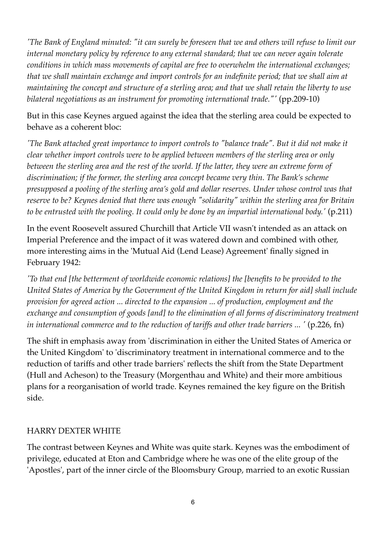*'The Bank of England minuted: "it can surely be foreseen that we and others will refuse to limit our internal monetary policy by reference to any external standard; that we can never again tolerate conditions in which mass movements of capital are free to overwhelm the international exchanges; that we shall maintain exchange and import controls for an indefinite period; that we shall aim at maintaining the concept and structure of a sterling area; and that we shall retain the liberty to use bilateral negotiations as an instrument for promoting international trade."'* (pp.209-10)

But in this case Keynes argued against the idea that the sterling area could be expected to behave as a coherent bloc:

*'The Bank attached great importance to import controls to "balance trade". But it did not make it clear whether import controls were to be applied between members of the sterling area or only between the sterling area and the rest of the world. If the latter, they were an extreme form of discrimination; if the former, the sterling area concept became very thin. The Bank's scheme presupposed a pooling of the sterling area's gold and dollar reserves. Under whose control was that reserve to be? Keynes denied that there was enough "solidarity" within the sterling area for Britain to be entrusted with the pooling. It could only be done by an impartial international body.'* (p.211)

In the event Roosevelt assured Churchill that Article VII wasn't intended as an attack on Imperial Preference and the impact of it was watered down and combined with other, more interesting aims in the 'Mutual Aid (Lend Lease) Agreement' finally signed in February 1942:

*'To that end [the betterment of worldwide economic relations] the [benefits to be provided to the United States of America by the Government of the United Kingdom in return for aid] shall include provision for agreed action ... directed to the expansion ... of production, employment and the exchange and consumption of goods [and] to the elimination of all forms of discriminatory treatment in international commerce and to the reduction of tariffs and other trade barriers ... '* (p.226, fn)

The shift in emphasis away from 'discrimination in either the United States of America or the United Kingdom' to 'discriminatory treatment in international commerce and to the reduction of tariffs and other trade barriers' reflects the shift from the State Department (Hull and Acheson) to the Treasury (Morgenthau and White) and their more ambitious plans for a reorganisation of world trade. Keynes remained the key figure on the British side.

#### HARRY DEXTER WHITE

The contrast between Keynes and White was quite stark. Keynes was the embodiment of privilege, educated at Eton and Cambridge where he was one of the elite group of the 'Apostles', part of the inner circle of the Bloomsbury Group, married to an exotic Russian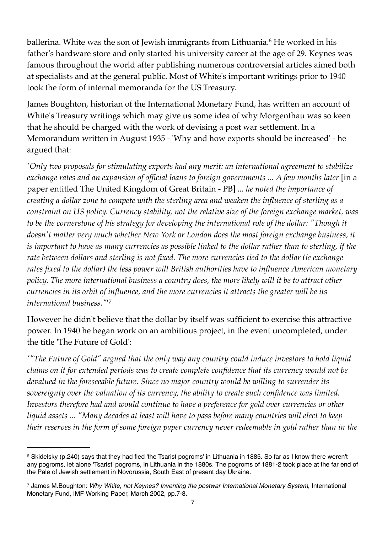ballerina. White was the son of Jewish immigrants from Lithuania.[6](#page-6-0) He worked in his father's hardware store and only started his university career at the age of 29. Keynes was famous throughout the world after publishing numerous controversial articles aimed both at specialists and at the general public. Most of White's important writings prior to 1940 took the form of internal memoranda for the US Treasury.

James Boughton, historian of the International Monetary Fund, has written an account of White's Treasury writings which may give us some idea of why Morgenthau was so keen that he should be charged with the work of devising a post war settlement. In a Memorandum written in August 1935 - 'Why and how exports should be increased' - he argued that:

*'Only two proposals for stimulating exports had any merit: an international agreement to stabilize exchange rates and an expansion of official loans to foreign governments ... A few months later* [in a paper entitled The United Kingdom of Great Britain - PB] *... he noted the importance of creating a dollar zone to compete with the sterling area and weaken the influence of sterling as a constraint on US policy. Currency stability, not the relative size of the foreign exchange market, was to be the cornerstone of his strategy for developing the international role of the dollar: "Though it doesn't matter very much whether New York or London does the most foreign exchange business, it is important to have as many currencies as possible linked to the dollar rather than to sterling, if the rate between dollars and sterling is not fixed. The more currencies tied to the dollar (ie exchange rates fixed to the dollar) the less power will British authorities have to influence American monetary policy. The more international business a country does, the more likely will it be to attract other currencies in its orbit of influence, and the more currencies it attracts the greater will be its international business."*' [7](#page-6-1)

However he didn't believe that the dollar by itself was sufficient to exercise this attractive power. In 1940 he began work on an ambitious project, in the event uncompleted, under the title 'The Future of Gold':

*'"The Future of Gold" argued that the only way any country could induce investors to hold liquid claims on it for extended periods was to create complete confidence that its currency would not be devalued in the foreseeable future. Since no major country would be willing to surrender its sovereignty over the valuation of its currency, the ability to create such confidence was limited. Investors therefore had and would continue to have a preference for gold over currencies or other liquid assets ... "Many decades at least will have to pass before many countries will elect to keep their reserves in the form of some foreign paper currency never redeemable in gold rather than in the* 

<span id="page-6-0"></span><sup>6</sup> Skidelsky (p.240) says that they had fled 'the Tsarist pogroms' in Lithuania in 1885. So far as I know there weren't any pogroms, let alone 'Tsarist' pogroms, in Lithuania in the 1880s. The pogroms of 1881-2 took place at the far end of the Pale of Jewish settlement in Novorussia, South East of present day Ukraine.

<span id="page-6-1"></span><sup>7</sup> James M.Boughton: *Why White, not Keynes? Inventing the postwar International Monetary System*, International Monetary Fund, IMF Working Paper, March 2002, pp.7-8.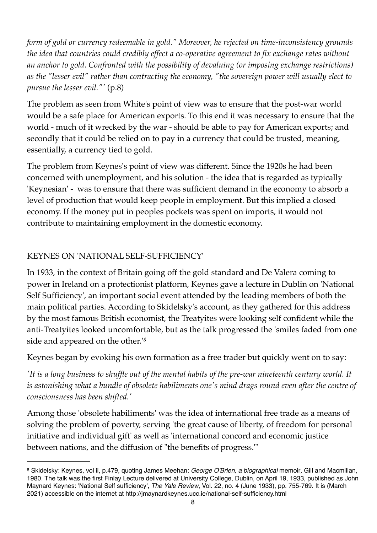*form of gold or currency redeemable in gold." Moreover, he rejected on time-inconsistency grounds the idea that countries could credibly effect a co-operative agreement to fix exchange rates without an anchor to gold. Confronted with the possibility of devaluing (or imposing exchange restrictions) as the "lesser evil" rather than contracting the economy, "the sovereign power will usually elect to pursue the lesser evil."'* (p.8)

The problem as seen from White's point of view was to ensure that the post-war world would be a safe place for American exports. To this end it was necessary to ensure that the world - much of it wrecked by the war - should be able to pay for American exports; and secondly that it could be relied on to pay in a currency that could be trusted, meaning, essentially, a currency tied to gold.

The problem from Keynes's point of view was different. Since the 1920s he had been concerned with unemployment, and his solution - the idea that is regarded as typically 'Keynesian' - was to ensure that there was sufficient demand in the economy to absorb a level of production that would keep people in employment. But this implied a closed economy. If the money put in peoples pockets was spent on imports, it would not contribute to maintaining employment in the domestic economy.

# KEYNES ON 'NATIONAL SELF-SUFFICIENCY'

In 1933, in the context of Britain going off the gold standard and De Valera coming to power in Ireland on a protectionist platform, Keynes gave a lecture in Dublin on 'National Self Sufficiency', an important social event attended by the leading members of both the main political parties. According to Skidelsky's account, as they gathered for this address by the most famous British economist, the Treatyites were looking self confident while the anti-Treatyites looked uncomfortable, but as the talk progressed the 'smiles faded from one side and appeared on the other.'*[8](#page-7-0)*

Keynes began by evoking his own formation as a free trader but quickly went on to say:

*'It is a long business to shuffle out of the mental habits of the pre-war nineteenth century world. It is astonishing what a bundle of obsolete habiliments one's mind drags round even after the centre of consciousness has been shifted.'*

Among those 'obsolete habiliments' was the idea of international free trade as a means of solving the problem of poverty, serving 'the great cause of liberty, of freedom for personal initiative and individual gift' as well as 'international concord and economic justice between nations, and the diffusion of "the benefits of progress."'

<span id="page-7-0"></span><sup>8</sup> Skidelsky: Keynes, vol ii, p.479, quoting James Meehan: *George O'Brien, a biographical* memoir*,* Gill and Macmillan, 1980*.* The talk was the first Finlay Lecture delivered at University College, Dublin, on April 19, 1933, published as John Maynard Keynes: 'National Self sufficiency', *The Yale Review*, Vol. 22, no. 4 (June 1933), pp. 755-769. It is (March 2021) accessible on the internet at http://jmaynardkeynes.ucc.ie/national-self-sufficiency.html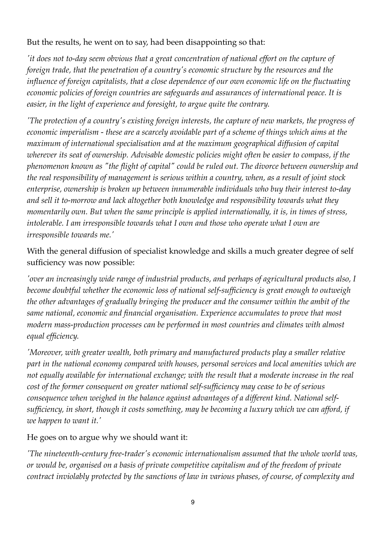But the results, he went on to say, had been disappointing so that:

*'it does not to-day seem obvious that a great concentration of national effort on the capture of foreign trade, that the penetration of a country's economic structure by the resources and the influence of foreign capitalists, that a close dependence of our own economic life on the fluctuating economic policies of foreign countries are safeguards and assurances of international peace. It is easier, in the light of experience and foresight, to argue quite the contrary.*

*'The protection of a country's existing foreign interests, the capture of new markets, the progress of economic imperialism - these are a scarcely avoidable part of a scheme of things which aims at the maximum of international specialisation and at the maximum geographical diffusion of capital wherever its seat of ownership. Advisable domestic policies might often be easier to compass, if the phenomenon known as "the flight of capital" could be ruled out. The divorce between ownership and the real responsibility of management is serious within a country, when, as a result of joint stock enterprise, ownership is broken up between innumerable individuals who buy their interest to-day and sell it to-morrow and lack altogether both knowledge and responsibility towards what they momentarily own. But when the same principle is applied internationally, it is, in times of stress, intolerable. I am irresponsible towards what I own and those who operate what I own are irresponsible towards me.'*

With the general diffusion of specialist knowledge and skills a much greater degree of self sufficiency was now possible:

*'over an increasingly wide range of industrial products, and perhaps of agricultural products also, I become doubtful whether the economic loss of national self-sufficiency is great enough to outweigh the other advantages of gradually bringing the producer and the consumer within the ambit of the same national, economic and financial organisation. Experience accumulates to prove that most modern mass-production processes can be performed in most countries and climates with almost equal efficiency.*

*'Moreover, with greater wealth, both primary and manufactured products play a smaller relative part in the national economy compared with houses, personal services and local amenities which are not equally available for international exchange; with the result that a moderate increase in the real cost of the former consequent on greater national self-sufficiency may cease to be of serious consequence when weighed in the balance against advantages of a different kind. National selfsufficiency, in short, though it costs something, may be becoming a luxury which we can afford, if we happen to want it.'*

He goes on to argue why we should want it:

*'The nineteenth-century free-trader's economic internationalism assumed that the whole world was, or would be, organised on a basis of private competitive capitalism and of the freedom of private contract inviolably protected by the sanctions of law in various phases, of course, of complexity and*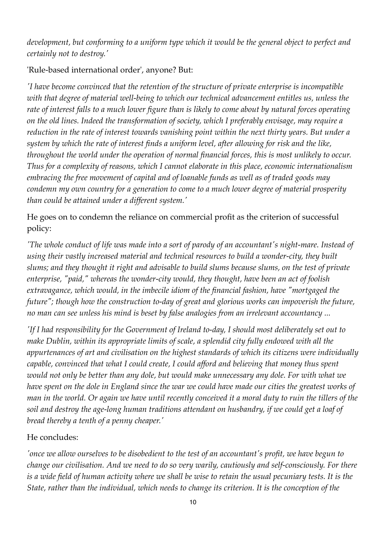*development, but conforming to a uniform type which it would be the general object to perfect and certainly not to destroy.'*

### 'Rule-based international order', anyone? But:

*'I have become convinced that the retention of the structure of private enterprise is incompatible with that degree of material well-being to which our technical advancement entitles us, unless the rate of interest falls to a much lower figure than is likely to come about by natural forces operating on the old lines. Indeed the transformation of society, which I preferably envisage, may require a reduction in the rate of interest towards vanishing point within the next thirty years. But under a system by which the rate of interest finds a uniform level, after allowing for risk and the like, throughout the world under the operation of normal financial forces, this is most unlikely to occur. Thus for a complexity of reasons, which I cannot elaborate in this place, economic internationalism embracing the free movement of capital and of loanable funds as well as of traded goods may condemn my own country for a generation to come to a much lower degree of material prosperity than could be attained under a different system.'*

He goes on to condemn the reliance on commercial profit as the criterion of successful policy:

*'The whole conduct of life was made into a sort of parody of an accountant's night-mare. Instead of using their vastly increased material and technical resources to build a wonder-city, they built slums; and they thought it right and advisable to build slums because slums, on the test of private enterprise, "paid," whereas the wonder-city would, they thought, have been an act of foolish extravagance, which would, in the imbecile idiom of the financial fashion, have "mortgaged the future"; though how the construction to-day of great and glorious works can impoverish the future, no man can see unless his mind is beset by false analogies from an irrelevant accountancy ...*

*'If I had responsibility for the Government of Ireland to-day, I should most deliberately set out to make Dublin, within its appropriate limits of scale, a splendid city fully endowed with all the appurtenances of art and civilisation on the highest standards of which its citizens were individually capable, convinced that what I could create, I could afford and believing that money thus spent would not only be better than any dole, but would make unnecessary any dole. For with what we have spent on the dole in England since the war we could have made our cities the greatest works of man in the world. Or again we have until recently conceived it a moral duty to ruin the tillers of the soil and destroy the age-long human traditions attendant on husbandry, if we could get a loaf of bread thereby a tenth of a penny cheaper.'*

#### He concludes:

*'once we allow ourselves to be disobedient to the test of an accountant's profit, we have begun to change our civilisation. And we need to do so very warily, cautiously and self-consciously. For there is a wide field of human activity where we shall be wise to retain the usual pecuniary tests. It is the State, rather than the individual, which needs to change its criterion. It is the conception of the*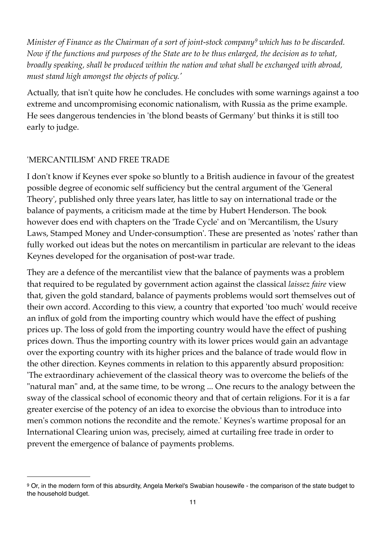*Minister of Finance as the Chairman of a sort of joint-stock company[9](#page-10-0) which has to be discarded. Now if the functions and purposes of the State are to be thus enlarged, the decision as to what, broadly speaking, shall be produced within the nation and what shall be exchanged with abroad, must stand high amongst the objects of policy.'*

Actually, that isn't quite how he concludes. He concludes with some warnings against a too extreme and uncompromising economic nationalism, with Russia as the prime example. He sees dangerous tendencies in 'the blond beasts of Germany' but thinks it is still too early to judge.

#### 'MERCANTILISM' AND FREE TRADE

I don't know if Keynes ever spoke so bluntly to a British audience in favour of the greatest possible degree of economic self sufficiency but the central argument of the 'General Theory', published only three years later, has little to say on international trade or the balance of payments, a criticism made at the time by Hubert Henderson. The book however does end with chapters on the 'Trade Cycle' and on 'Mercantilism, the Usury Laws, Stamped Money and Under-consumption'. These are presented as 'notes' rather than fully worked out ideas but the notes on mercantilism in particular are relevant to the ideas Keynes developed for the organisation of post-war trade.

They are a defence of the mercantilist view that the balance of payments was a problem that required to be regulated by government action against the classical *laissez faire* view that, given the gold standard, balance of payments problems would sort themselves out of their own accord. According to this view, a country that exported 'too much' would receive an influx of gold from the importing country which would have the effect of pushing prices up. The loss of gold from the importing country would have the effect of pushing prices down. Thus the importing country with its lower prices would gain an advantage over the exporting country with its higher prices and the balance of trade would flow in the other direction. Keynes comments in relation to this apparently absurd proposition: 'The extraordinary achievement of the classical theory was to overcome the beliefs of the "natural man" and, at the same time, to be wrong ... One recurs to the analogy between the sway of the classical school of economic theory and that of certain religions. For it is a far greater exercise of the potency of an idea to exorcise the obvious than to introduce into men's common notions the recondite and the remote.' Keynes's wartime proposal for an International Clearing union was, precisely, aimed at curtailing free trade in order to prevent the emergence of balance of payments problems.

<span id="page-10-0"></span><sup>&</sup>lt;sup>9</sup> Or, in the modern form of this absurdity, Angela Merkel's Swabian housewife - the comparison of the state budget to the household budget.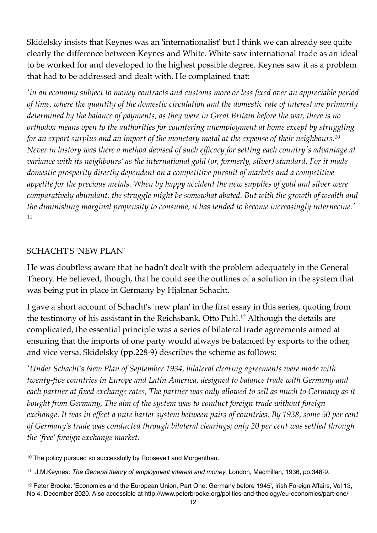Skidelsky insists that Keynes was an 'internationalist' but I think we can already see quite clearly the difference between Keynes and White. White saw international trade as an ideal to be worked for and developed to the highest possible degree. Keynes saw it as a problem that had to be addressed and dealt with. He complained that:

*'in an economy subject to money contracts and customs more or less fixed over an appreciable period of time, where the quantity of the domestic circulation and the domestic rate of interest are primarily determined by the balance of payments, as they were in Great Britain before the war, there is no orthodox means open to the authorities for countering unemployment at home except by struggling for an export surplus and an import of the monetary metal at the expense of their neighbours.[10](#page-11-0) Never in history was there a method devised of such efficacy for setting each country's advantage at variance with its neighbours' as the international gold (or, formerly, silver) standard. For it made domestic prosperity directly dependent on a competitive pursuit of markets and a competitive appetite for the precious metals. When by happy accident the new supplies of gold and silver were comparatively abundant, the struggle might be somewhat abated. But with the growth of wealth and the diminishing marginal propensity to consume, it has tended to become increasingly internecine.'* [11](#page-11-1)

#### SCHACHT'S 'NEW PLAN'

He was doubtless aware that he hadn't dealt with the problem adequately in the General Theory. He believed, though, that he could see the outlines of a solution in the system that was being put in place in Germany by Hjalmar Schacht.

I gave a short account of Schacht's 'new plan' in the first essay in this series, quoting from the testimony of his assistant in the Reichsbank, Otto Puhl.[12](#page-11-2) Although the details are complicated, the essential principle was a series of bilateral trade agreements aimed at ensuring that the imports of one party would always be balanced by exports to the other, and vice versa. Skidelsky (pp.228-9) describes the scheme as follows:

*'Under Schacht's New Plan of September 1934, bilateral clearing agreements were made with twenty-five countries in Europe and Latin America, designed to balance trade with Germany and each partner at fixed exchange rates, The partner was only allowed to sell as much to Germany as it bought from Germany, The aim of the system was to conduct foreign trade without foreign exchange. It was in effect a pure barter system between pairs of countries. By 1938, some 50 per cent of Germany's trade was conducted through bilateral clearings; only 20 per cent was settled through the 'free' foreign exchange market.*

<span id="page-11-0"></span><sup>10</sup> The policy pursued so successfully by Roosevelt and Morgenthau.

<span id="page-11-1"></span><sup>11</sup> J.M.Keynes: *The General theory of employment interest and money*, London, Macmillan, 1936, pp.348-9.

<span id="page-11-2"></span><sup>12</sup> Peter Brooke: 'Economics and the European Union, Part One: Germany before 1945', Irish Foreign Affairs, Vol 13, No 4, December 2020. Also accessible at http://www.peterbrooke.org/politics-and-theology/eu-economics/part-one/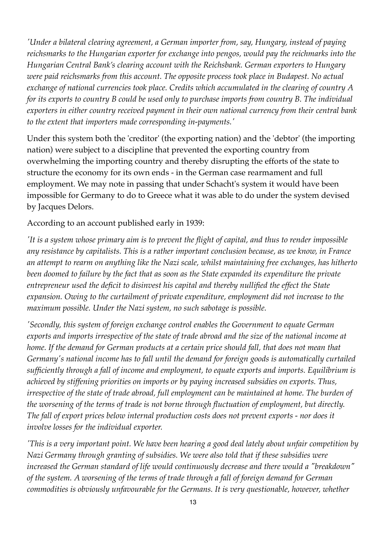*'Under a bilateral clearing agreement, a German importer from, say, Hungary, instead of paying reichsmarks to the Hungarian exporter for exchange into pengos, would pay the reichmarks into the Hungarian Central Bank's clearing account with the Reichsbank. German exporters to Hungary were paid reichsmarks from this account. The opposite process took place in Budapest. No actual exchange of national currencies took place. Credits which accumulated in the clearing of country A for its exports to country B could be used only to purchase imports from country B. The individual exporters in either country received payment in their own national currency from their central bank to the extent that importers made corresponding in-payments.'* 

Under this system both the 'creditor' (the exporting nation) and the 'debtor' (the importing nation) were subject to a discipline that prevented the exporting country from overwhelming the importing country and thereby disrupting the efforts of the state to structure the economy for its own ends - in the German case rearmament and full employment. We may note in passing that under Schacht's system it would have been impossible for Germany to do to Greece what it was able to do under the system devised by Jacques Delors.

According to an account published early in 1939:

*'It is a system whose primary aim is to prevent the flight of capital, and thus to render impossible any resistance by capitalists. This is a rather important conclusion because, as we know, in France an attempt to rearm on anything like the Nazi scale, whilst maintaining free exchanges, has hitherto been doomed to failure by the fact that as soon as the State expanded its expenditure the private entrepreneur used the deficit to disinvest his capital and thereby nullified the effect the State expansion. Owing to the curtailment of private expenditure, employment did not increase to the maximum possible. Under the Nazi system, no such sabotage is possible.* 

*'Secondly, this system of foreign exchange control enables the Government to equate German exports and imports irrespective of the state of trade abroad and the size of the national income at home. If the demand for German products at a certain price should fall, that does not mean that Germany's national income has to fall until the demand for foreign goods is automatically curtailed sufficiently through a fall of income and employment, to equate exports and imports. Equilibrium is achieved by stiffening priorities on imports or by paying increased subsidies on exports. Thus, irrespective of the state of trade abroad, full employment can be maintained at home. The burden of the worsening of the terms of trade is not borne through fluctuation of employment, but directly. The fall of export prices below internal production costs does not prevent exports - nor does it involve losses for the individual exporter.* 

*'This is a very important point. We have been hearing a good deal lately about unfair competition by Nazi Germany through granting of subsidies. We were also told that if these subsidies were increased the German standard of life would continuously decrease and there would a "breakdown" of the system. A worsening of the terms of trade through a fall of foreign demand for German commodities is obviously unfavourable for the Germans. It is very questionable, however, whether*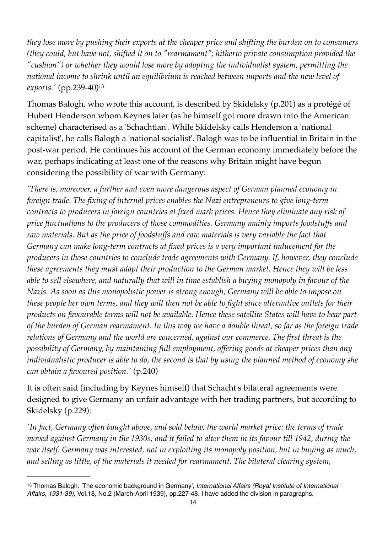*they lose more by pushing their exports at the cheaper price and shifting the burden on to consumers (they could, but have not, shifted it on to "rearmament"; hitherto private consumption provided the "cushion") or whether they would lose more by adopting the individualist system, permitting the national income to shrink until an equilibrium is reached between imports and the new level of exports.'* (pp.239-40[\)13](#page-13-0)

Thomas Balogh, who wrote this account, is described by Skidelsky (p.201) as a protégé of Hubert Henderson whom Keynes later (as he himself got more drawn into the American scheme) characterised as a 'Schachtian'. While Skidelsky calls Henderson a 'national capitalist', he calls Balogh a 'national socialist'. Balogh was to be influential in Britain in the post-war period. He continues his account of the German economy immediately before the war, perhaps indicating at least one of the reasons why Britain might have begun considering the possibility of war with Germany:

*'There is, moreover, a further and even more dangerous aspect of German planned economy in foreign trade. The fixing of internal prices enables the Nazi entrepreneurs to give long-term contracts to producers in foreign countries at fixed mark prices. Hence they eliminate any risk of price fluctuations to the producers of those commodities. Germany mainly imports foodstuffs and raw materials. But as the price of foodstuffs and raw materials is very variable the fact that Germany can make long-term contracts at fixed prices is a very important inducement for the producers in those countries to conclude trade agreements with Germany. If, however, they conclude these agreements they must adapt their production to the German market. Hence they will be less able to sell elsewhere, and naturally that will in time establish a buying monopoly in favour of the Nazis. As soon as this monopolistic power is strong enough, Germany will be able to impose on these people her own terms, and they will then not be able to fight since alternative outlets for their products on favourable terms will not be available. Hence these satellite States will have to bear part of the burden of German rearmament. In this way we have a double threat, so far as the foreign trade relations of Germany and the world are concerned, against our commerce. The first threat is the possibility of Germany, by maintaining full employment, offering goods at cheaper prices than any individualistic producer is able to do, the second is that by using the planned method of economy she can obtain a favoured position.'* (p.240)

It is often said (including by Keynes himself) that Schacht's bilateral agreements were designed to give Germany an unfair advantage with her trading partners, but according to Skidelsky (p.229):

*'In fact, Germany often bought above, and sold below, the world market price: the terms of trade moved against Germany in the 1930s, and it failed to alter them in its favour till 1942, during the war itself. Germany was interested, not in exploiting its monopoly position, but in buying as much, and selling as little, of the materials it needed for rearmament. The bilateral clearing system,* 

<span id="page-13-0"></span><sup>13</sup> Thomas Balogh: 'The economic background in Germany', *International Affairs (Royal Institute of International Affairs, 1931-39),* Vol.18, No.2 (March-April 1939), pp.227-48. I have added the division in paragraphs.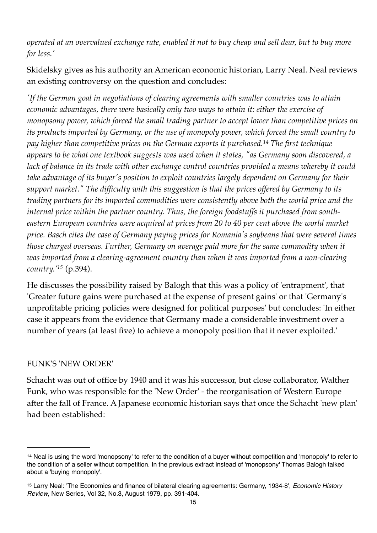*operated at an overvalued exchange rate, enabled it not to buy cheap and sell dear, but to buy more for less.'*

Skidelsky gives as his authority an American economic historian, Larry Neal. Neal reviews an existing controversy on the question and concludes:

*'If the German goal in negotiations of clearing agreements with smaller countries was to attain economic advantages, there were basically only two ways to attain it: either the exercise of monopsony power, which forced the small trading partner to accept lower than competitive prices on its products imported by Germany, or the use of monopoly power, which forced the small country to pay higher than competitive prices on the German exports it purchased.[14](#page-14-0) The first technique appears to be what one textbook suggests was used when it states, "as Germany soon discovered, a lack of balance in its trade with other exchange control countries provided a means whereby it could take advantage of its buyer's position to exploit countries largely dependent on Germany for their support market." The difficulty with this suggestion is that the prices offered by Germany to its trading partners for its imported commodities were consistently above both the world price and the internal price within the partner country. Thus, the foreign foodstuffs it purchased from southeastern European countries were acquired at prices from 20 to 40 per cent above the world market price. Basch cites the case of Germany paying prices for Romania's soybeans that were several times those charged overseas. Further, Germany on average paid more for the same commodity when it was imported from a clearing-agreement country than when it was imported from a non-clearing country.'[15](#page-14-1)* (p.394).

He discusses the possibility raised by Balogh that this was a policy of 'entrapment', that 'Greater future gains were purchased at the expense of present gains' or that 'Germany's unprofitable pricing policies were designed for political purposes' but concludes: 'In either case it appears from the evidence that Germany made a considerable investment over a number of years (at least five) to achieve a monopoly position that it never exploited.'

#### FUNK'S 'NEW ORDER'

Schacht was out of office by 1940 and it was his successor, but close collaborator, Walther Funk, who was responsible for the 'New Order' - the reorganisation of Western Europe after the fall of France. A Japanese economic historian says that once the Schacht 'new plan' had been established:

<span id="page-14-0"></span><sup>14</sup> Neal is using the word 'monopsony' to refer to the condition of a buyer without competition and 'monopoly' to refer to the condition of a seller without competition. In the previous extract instead of 'monopsony' Thomas Balogh talked about a 'buying monopoly'.

<span id="page-14-1"></span><sup>15</sup> Larry Neal: 'The Economics and finance of bilateral clearing agreements: Germany, 1934-8', *Economic History Review*, New Series, Vol 32, No.3, August 1979, pp. 391-404.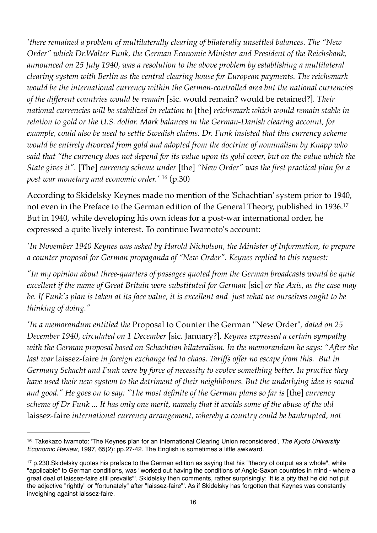*'there remained a problem of multilaterally clearing of bilaterally unsettled balances. The "New Order" which Dr.Walter Funk, the German Economic Minister and President of the Reichsbank, announced on 25 July 1940, was a resolution to the above problem by establishing a multilateral clearing system with Berlin as the central clearing house for European payments. The reichsmark would be the international currency within the German-controlled area but the national currencies of the different countries would be remain* [sic. would remain? would be retained?]*. Their national currencies will be stabilized in relation to* [the] *reichsmark which would remain stable in relation to gold or the U.S. dollar. Mark balances in the German-Danish clearing account, for example, could also be used to settle Swedish claims. Dr. Funk insisted that this currency scheme would be entirely divorced from gold and adopted from the doctrine of nominalism by Knapp who said that "the currency does not depend for its value upon its gold cover, but on the value which the State gives it".* [The] *currency scheme under* [the] *"New Order" was the first practical plan for a post war monetary and economic order.'* [16](#page-15-0) (p.30)

According to Skidelsky Keynes made no mention of the 'Schachtian' system prior to 1940, not even in the Preface to the German edition of the General Theory, published in 1936.[17](#page-15-1) But in 1940, while developing his own ideas for a post-war international order, he expressed a quite lively interest. To continue Iwamoto's account:

*'In November 1940 Keynes was asked by Harold Nicholson, the Minister of Information, to prepare a counter proposal for German propaganda of "New Order". Keynes replied to this request:*

*"In my opinion about three-quarters of passages quoted from the German broadcasts would be quite excellent if the name of Great Britain were substituted for German [sic] or the Axis, as the case may be. If Funk's plan is taken at its face value, it is excellent and just what we ourselves ought to be thinking of doing."*

*'In a memorandum entitled the* Proposal to Counter the German "New Order"*, dated on 25 December 1940, circulated on 1 December* [sic. January?]*, Keynes expressed a certain sympathy with the German proposal based on Schachtian bilateralism. In the memorandum he says: "After the last war* laissez-faire *in foreign exchange led to chaos. Tariffs offer no escape from this. But in Germany Schacht and Funk were by force of necessity to evolve something better. In practice they have used their new system to the detriment of their neighhbours. But the underlying idea is sound and good." He goes on to say: "The most definite of the German plans so far is [the] currency scheme of Dr Funk ... It has only one merit, namely that it avoids some of the abuse of the old*  laissez-faire *international currency arrangement, whereby a country could be bankrupted, not* 

<span id="page-15-0"></span><sup>16</sup> Takekazo Iwamoto: 'The Keynes plan for an International Clearing Union reconsidered', *The Kyoto University Economic Review*, 1997, 65(2): pp.27-42. The English is sometimes a little awkward.

<span id="page-15-1"></span><sup>&</sup>lt;sup>17</sup> p.230. Skidelsky quotes his preface to the German edition as saying that his "theory of output as a whole", while "applicable" to German conditions, was "worked out having the conditions of Anglo-Saxon countries in mind - where a great deal of laissez-faire still prevails"'. Skidelsky then comments, rather surprisingly: 'It is a pity that he did not put the adjective "rightly" or "fortunately" after "laissez-faire"'. As if Skidelsky has forgotten that Keynes was constantly inveighing against laissez-faire.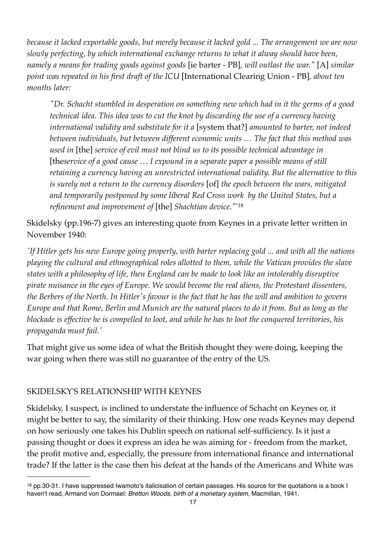*because it lacked exportable goods, but merely because it lacked gold ... The arrangement we are now slowly perfecting, by which international exchange returns to what it alway should have been, namely a means for trading goods against goods* [ie barter - PB]*, will outlast the war."* [A] *similar point was repeated in his first draft of the ICU* [International Clearing Union - PB]*, about ten months later:*

*"Dr. Schacht stumbled in desperation on something new which had in it the germs of a good technical idea. This idea was to cut the knot by discarding the use of a currency having international validity and substitute for it a* [system that?] *amounted to barter, not indeed between individuals, but between different economic units … The fact that this method was used in* [the] *service of evil must not blind us to its possible technical advantage in*  [the*service of a good cause … I expound in a separate paper a possible means of still retaining a currency having an unrestricted international validity. But the alternative to this is surely not a return to the currency disorders* [of] *the epoch between the wars, mitigated and temporarily postponed by some liberal Red Cross work by the United States, but a refinement and improvement of* [the] *Shachtian device."*' [18](#page-16-0)

Skidelsky (pp.196-7) gives an interesting quote from Keynes in a private letter written in November 1940:

*'If Hitler gets his new Europe going properly, with barter replacing gold ... and with all the nations playing the cultural and ethnographical roles allotted to them, while the Vatican provides the slave states with a philosophy of life, then England can be made to look like an intolerably disruptive pirate nuisance in the eyes of Europe. We would become the real aliens, the Protestant dissenters, the Berbers of the North. In Hitler's favour is the fact that he has the will and ambition to govern Europe and that Rome, Berlin and Munich are the natural places to do it from. But as long as the blockade is effective he is compelled to loot, and while he has to loot the conquered territories, his propaganda must fail.'*

That might give us some idea of what the British thought they were doing, keeping the war going when there was still no guarantee of the entry of the US.

#### SKIDELSKY'S RELATIONSHIP WITH KEYNES

Skidelsky, I suspect, is inclined to understate the influence of Schacht on Keynes or, it might be better to say, the similarity of their thinking. How one reads Keynes may depend on how seriously one takes his Dublin speech on national self-sufficiency. Is it just a passing thought or does it express an idea he was aiming for - freedom from the market, the profit motive and, especially, the pressure from international finance and international trade? If the latter is the case then his defeat at the hands of the Americans and White was

<span id="page-16-0"></span><sup>18</sup> pp.30-31. I have suppressed Iwamoto's italicisation of certain passages. His source for the quotations is a book I haven't read, Armand von Dormael: *Bretton Woods, birth of a monetary system*, Macmillan, 1941.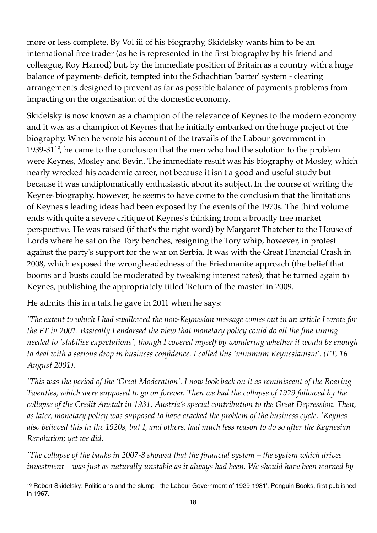more or less complete. By Vol iii of his biography, Skidelsky wants him to be an international free trader (as he is represented in the first biography by his friend and colleague, Roy Harrod) but, by the immediate position of Britain as a country with a huge balance of payments deficit, tempted into the Schachtian 'barter' system - clearing arrangements designed to prevent as far as possible balance of payments problems from impacting on the organisation of the domestic economy.

Skidelsky is now known as a champion of the relevance of Keynes to the modern economy and it was as a champion of Keynes that he initially embarked on the huge project of the biography. When he wrote his account of the travails of the Labour government in 1939-31[19,](#page-17-0) he came to the conclusion that the men who had the solution to the problem were Keynes, Mosley and Bevin. The immediate result was his biography of Mosley, which nearly wrecked his academic career, not because it isn't a good and useful study but because it was undiplomatically enthusiastic about its subject. In the course of writing the Keynes biography, however, he seems to have come to the conclusion that the limitations of Keynes's leading ideas had been exposed by the events of the 1970s. The third volume ends with quite a severe critique of Keynes's thinking from a broadly free market perspective. He was raised (if that's the right word) by Margaret Thatcher to the House of Lords where he sat on the Tory benches, resigning the Tory whip, however, in protest against the party's support for the war on Serbia. It was with the Great Financial Crash in 2008, which exposed the wrongheadedness of the Friedmanite approach (the belief that booms and busts could be moderated by tweaking interest rates), that he turned again to Keynes, publishing the appropriately titled 'Return of the master' in 2009.

He admits this in a talk he gave in 2011 when he says:

*'The extent to which I had swallowed the non-Keynesian message comes out in an article I wrote for the FT in 2001. Basically I endorsed the view that monetary policy could do all the fine tuning needed to 'stabilise expectations', though I covered myself by wondering whether it would be enough to deal with a serious drop in business confidence. I called this 'minimum Keynesianism'. (FT, 16 August 2001).*

*'This was the period of the 'Great Moderation'. I now look back on it as reminiscent of the Roaring Twenties, which were supposed to go on forever. Then we had the collapse of 1929 followed by the collapse of the Credit Anstalt in 1931, Austria's special contribution to the Great Depression. Then, as later, monetary policy was supposed to have cracked the problem of the business cycle. 'Keynes also believed this in the 1920s, but I, and others, had much less reason to do so after the Keynesian Revolution; yet we did.*

*'The collapse of the banks in 2007-8 showed that the financial system – the system which drives investment – was just as naturally unstable as it always had been. We should have been warned by* 

<span id="page-17-0"></span><sup>19</sup> Robert Skidelsky: Politicians and the slump - the Labour Government of 1929-1931', Penguin Books, first published in 1967.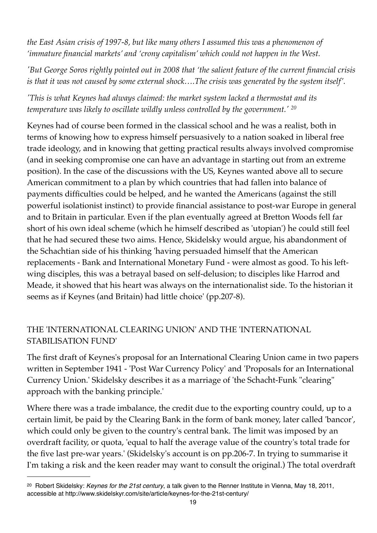*the East Asian crisis of 1997-8, but like many others I assumed this was a phenomenon of 'immature financial markets' and 'crony capitalism' which could not happen in the West.*

*'But George Soros rightly pointed out in 2008 that 'the salient feature of the current financial crisis is that it was not caused by some external shock….The crisis was generated by the system itself'.*

*'This is what Keynes had always claimed: the market system lacked a thermostat and its temperature was likely to oscillate wildly unless controlled by the government.' [20](#page-18-0)*

Keynes had of course been formed in the classical school and he was a realist, both in terms of knowing how to express himself persuasively to a nation soaked in liberal free trade ideology, and in knowing that getting practical results always involved compromise (and in seeking compromise one can have an advantage in starting out from an extreme position). In the case of the discussions with the US, Keynes wanted above all to secure American commitment to a plan by which countries that had fallen into balance of payments difficulties could be helped, and he wanted the Americans (against the still powerful isolationist instinct) to provide financial assistance to post-war Europe in general and to Britain in particular. Even if the plan eventually agreed at Bretton Woods fell far short of his own ideal scheme (which he himself described as 'utopian') he could still feel that he had secured these two aims. Hence, Skidelsky would argue, his abandonment of the Schachtian side of his thinking 'having persuaded himself that the American replacements - Bank and International Monetary Fund - were almost as good. To his leftwing disciples, this was a betrayal based on self-delusion; to disciples like Harrod and Meade, it showed that his heart was always on the internationalist side. To the historian it seems as if Keynes (and Britain) had little choice' (pp.207-8).

# THE 'INTERNATIONAL CLEARING UNION' AND THE 'INTERNATIONAL STABILISATION FUND'

The first draft of Keynes's proposal for an International Clearing Union came in two papers written in September 1941 - 'Post War Currency Policy' and 'Proposals for an International Currency Union.' Skidelsky describes it as a marriage of 'the Schacht-Funk "clearing" approach with the banking principle.'

Where there was a trade imbalance, the credit due to the exporting country could, up to a certain limit, be paid by the Clearing Bank in the form of bank money, later called 'bancor', which could only be given to the country's central bank. The limit was imposed by an overdraft facility, or quota, 'equal to half the average value of the country's total trade for the five last pre-war years.' (Skidelsky's account is on pp.206-7. In trying to summarise it I'm taking a risk and the keen reader may want to consult the original.) The total overdraft

<span id="page-18-0"></span><sup>20</sup> Robert Skidelsky: *Keynes for the 21st century*, a talk given to the Renner Institute in Vienna, May 18, 2011, accessible at http://www.skidelskyr.com/site/article/keynes-for-the-21st-century/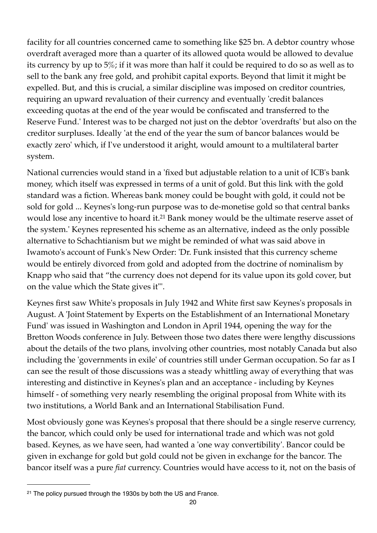facility for all countries concerned came to something like \$25 bn. A debtor country whose overdraft averaged more than a quarter of its allowed quota would be allowed to devalue its currency by up to 5%; if it was more than half it could be required to do so as well as to sell to the bank any free gold, and prohibit capital exports. Beyond that limit it might be expelled. But, and this is crucial, a similar discipline was imposed on creditor countries, requiring an upward revaluation of their currency and eventually 'credit balances exceeding quotas at the end of the year would be confiscated and transferred to the Reserve Fund.' Interest was to be charged not just on the debtor 'overdrafts' but also on the creditor surpluses. Ideally 'at the end of the year the sum of bancor balances would be exactly zero' which, if I've understood it aright, would amount to a multilateral barter system.

National currencies would stand in a 'fixed but adjustable relation to a unit of ICB's bank money, which itself was expressed in terms of a unit of gold. But this link with the gold standard was a fiction. Whereas bank money could be bought with gold, it could not be sold for gold ... Keynes's long-run purpose was to de-monetise gold so that central banks would lose any incentive to hoard it.<sup>[21](#page-19-0)</sup> Bank money would be the ultimate reserve asset of the system.' Keynes represented his scheme as an alternative, indeed as the only possible alternative to Schachtianism but we might be reminded of what was said above in Iwamoto's account of Funk's New Order: 'Dr. Funk insisted that this currency scheme would be entirely divorced from gold and adopted from the doctrine of nominalism by Knapp who said that "the currency does not depend for its value upon its gold cover, but on the value which the State gives it"'.

Keynes first saw White's proposals in July 1942 and White first saw Keynes's proposals in August. A 'Joint Statement by Experts on the Establishment of an International Monetary Fund' was issued in Washington and London in April 1944, opening the way for the Bretton Woods conference in July. Between those two dates there were lengthy discussions about the details of the two plans, involving other countries, most notably Canada but also including the 'governments in exile' of countries still under German occupation. So far as I can see the result of those discussions was a steady whittling away of everything that was interesting and distinctive in Keynes's plan and an acceptance - including by Keynes himself - of something very nearly resembling the original proposal from White with its two institutions, a World Bank and an International Stabilisation Fund.

Most obviously gone was Keynes's proposal that there should be a single reserve currency, the bancor, which could only be used for international trade and which was not gold based. Keynes, as we have seen, had wanted a 'one way convertibility'. Bancor could be given in exchange for gold but gold could not be given in exchange for the bancor. The bancor itself was a pure *fiat* currency. Countries would have access to it, not on the basis of

<span id="page-19-0"></span><sup>&</sup>lt;sup>21</sup> The policy pursued through the 1930s by both the US and France.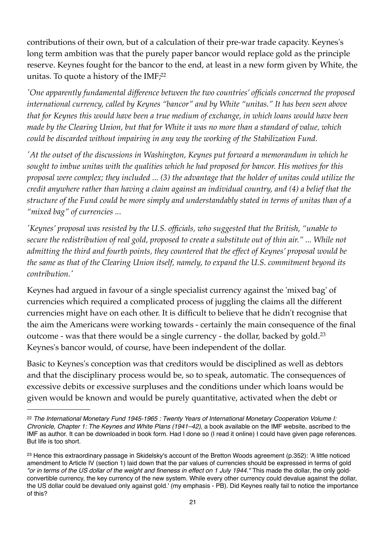contributions of their own, but of a calculation of their pre-war trade capacity. Keynes's long term ambition was that the purely paper bancor would replace gold as the principle reserve. Keynes fought for the bancor to the end, at least in a new form given by White, the unitas. To quote a history of the IMF[;22](#page-20-0)

*'One apparently fundamental difference between the two countries' officials concerned the proposed international currency, called by Keynes "bancor" and by White "unitas." It has been seen above that for Keynes this would have been a true medium of exchange, in which loans would have been made by the Clearing Union, but that for White it was no more than a standard of value, which could be discarded without impairing in any way the working of the Stabilization Fund.*

*'At the outset of the discussions in Washington, Keynes put forward a memorandum in which he sought to imbue unitas with the qualities which he had proposed for bancor. His motives for this proposal were complex; they included ... (3) the advantage that the holder of unitas could utilize the credit anywhere rather than having a claim against an individual country, and (4) a belief that the structure of the Fund could be more simply and understandably stated in terms of unitas than of a "mixed bag" of currencies ...*

*'Keynes' proposal was resisted by the U.S. officials, who suggested that the British, "unable to secure the redistribution of real gold, proposed to create a substitute out of thin air." ... While not admitting the third and fourth points, they countered that the effect of Keynes' proposal would be the same as that of the Clearing Union itself, namely, to expand the U.S. commitment beyond its contribution.'*

Keynes had argued in favour of a single specialist currency against the 'mixed bag' of currencies which required a complicated process of juggling the claims all the different currencies might have on each other. It is difficult to believe that he didn't recognise that the aim the Americans were working towards - certainly the main consequence of the final outcome - was that there would be a single currency - the dollar, backed by gold.[23](#page-20-1) Keynes's bancor would, of course, have been independent of the dollar.

Basic to Keynes's conception was that creditors would be disciplined as well as debtors and that the disciplinary process would be, so to speak, automatic. The consequences of excessive debits or excessive surpluses and the conditions under which loans would be given would be known and would be purely quantitative, activated when the debt or

<span id="page-20-0"></span><sup>22</sup> *The International Monetary Fund 1945-1965 : Twenty Years of International Monetary Cooperation Volume I: Chronicle, Chapter 1: The Keynes and White Plans (1941–42)*, a book available on the IMF website, ascribed to the IMF as author. It can be downloaded in book form. Had I done so (I read it online) I could have given page references. But life is too short.

<span id="page-20-1"></span><sup>23</sup> Hence this extraordinary passage in Skidelsky's account of the Bretton Woods agreement (p.352): 'A little noticed amendment to Article IV (section 1) laid down that the par values of currencies should be expressed in terms of gold *"or in terms of the US dollar of the weight and fineness in effect on 1 July 1944."* This made the dollar, the only goldconvertible currency, the key currency of the new system. While every other currency could devalue against the dollar, the US dollar could be devalued only against gold.' (my emphasis - PB). Did Keynes really fail to notice the importance of this?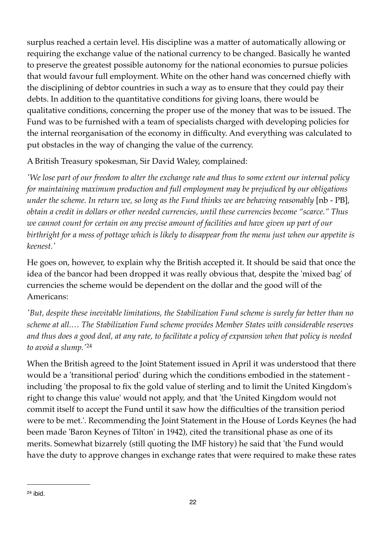surplus reached a certain level. His discipline was a matter of automatically allowing or requiring the exchange value of the national currency to be changed. Basically he wanted to preserve the greatest possible autonomy for the national economies to pursue policies that would favour full employment. White on the other hand was concerned chiefly with the disciplining of debtor countries in such a way as to ensure that they could pay their debts. In addition to the quantitative conditions for giving loans, there would be qualitative conditions, concerning the proper use of the money that was to be issued. The Fund was to be furnished with a team of specialists charged with developing policies for the internal reorganisation of the economy in difficulty. And everything was calculated to put obstacles in the way of changing the value of the currency.

A British Treasury spokesman, Sir David Waley, complained:

*'We lose part of our freedom to alter the exchange rate and thus to some extent our internal policy for maintaining maximum production and full employment may be prejudiced by our obligations under the scheme. In return we, so long as the Fund thinks we are behaving reasonably* [nb - PB]*, obtain a credit in dollars or other needed currencies, until these currencies become "scarce." Thus we cannot count for certain on any precise amount of facilities and have given up part of our birthright for a mess of pottage which is likely to disappear from the menu just when our appetite is keenest.'*

He goes on, however, to explain why the British accepted it. It should be said that once the idea of the bancor had been dropped it was really obvious that, despite the 'mixed bag' of currencies the scheme would be dependent on the dollar and the good will of the Americans:

*'But, despite these inevitable limitations, the Stabilization Fund scheme is surely far better than no scheme at all.… The Stabilization Fund scheme provides Member States with considerable reserves and thus does a good deal, at any rate, to facilitate a policy of expansion when that policy is needed to avoid a slump.'*[24](#page-21-0)

When the British agreed to the Joint Statement issued in April it was understood that there would be a 'transitional period' during which the conditions embodied in the statement including 'the proposal to fix the gold value of sterling and to limit the United Kingdom's right to change this value' would not apply, and that 'the United Kingdom would not commit itself to accept the Fund until it saw how the difficulties of the transition period were to be met.'. Recommending the Joint Statement in the House of Lords Keynes (he had been made 'Baron Keynes of Tilton' in 1942), cited the transitional phase as one of its merits. Somewhat bizarrely (still quoting the IMF history) he said that 'the Fund would have the duty to approve changes in exchange rates that were required to make these rates

<span id="page-21-0"></span><sup>24</sup> ibid.